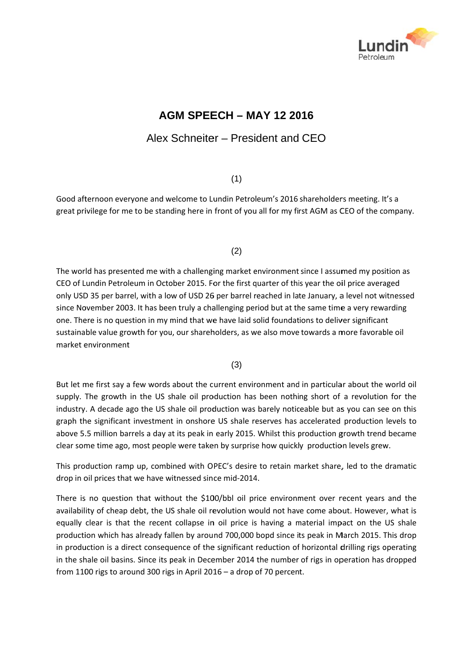

# **AG GM SPEE ECH – MA AY 12 20 016**

## Alex Schneiter - President and CEO

## (1)

Good afternoon everyone and welcome to Lundin Petroleum's 2016 shareholders meeting. It's a great privilege for me to be standing here in front of you all for my first AGM as CEO of the company.

(2)

The world has presented me with a challenging market environment since I assumed my position as CEO of Lundin Petroleum in October 2015. For the first quarter of this year the oil price averaged only USD 35 per barrel, with a low of USD 26 per barrel reached in late January, a level not witnessed since November 2003. It has been truly a challenging period but at the same time a very rewarding one. There is no question in my mind that we have laid solid foundations to deliver significant sustainable value growth for you, our shareholders, as we also move towards a more favorable oil market environment

(3)

But let me first say a few words about the current environment and in particular about the world oil supply. The growth in the US shale oil production has been nothing short of a revolution for the industry. A decade ago the US shale oil production was barely noticeable but as you can see on this graph the significant investment in onshore US shale reserves has accelerated production levels to above 5.5 million barrels a day at its peak in early 2015. Whilst this production growth trend became clear some time ago, most people were taken by surprise how quickly production levels grew.

This production ramp up, combined with OPEC's desire to retain market share, led to the dramatic drop in oil prices that we have witnessed since mid-2014.

There is no question that without the \$100/bbl oil price environment over recent years and the availability of cheap debt, the US shale oil revolution would not have come about. However, what is equally clear is that the recent collapse in oil price is having a material impact on the US shale production which has already fallen by around 700,000 bopd since its peak in March 2015. This drop in production is a direct consequence of the significant reduction of horizontal drilling rigs operating in the shale oil basins. Since its peak in December 2014 the number of rigs in operation has dropped from 1100 rigs to around 300 rigs in April 2016 – a drop of 70 percent.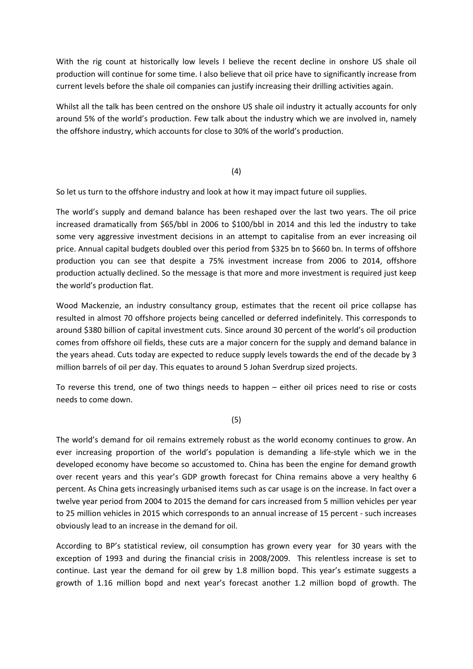With the rig count at historically low levels I believe the recent decline in onshore US shale oil production will continue for some time. I also believe that oil price have to significantly increase from current levels before the shale oil companies can justify increasing their drilling activities again.

Whilst all the talk has been centred on the onshore US shale oil industry it actually accounts for only around 5% of the world's production. Few talk about the industry which we are involved in, namely the offshore industry, which accounts for close to 30% of the world's production.

(4)

So let us turn to the offshore industry and look at how it may impact future oil supplies.

The world's supply and demand balance has been reshaped over the last two years. The oil price increased dramatically from \$65/bbl in 2006 to \$100/bbl in 2014 and this led the industry to take some very aggressive investment decisions in an attempt to capitalise from an ever increasing oil price. Annual capital budgets doubled over this period from \$325 bn to \$660 bn. In terms of offshore production you can see that despite a 75% investment increase from 2006 to 2014, offshore production actually declined. So the message is that more and more investment is required just keep the world's production flat.

Wood Mackenzie, an industry consultancy group, estimates that the recent oil price collapse has resulted in almost 70 offshore projects being cancelled or deferred indefinitely. This corresponds to around \$380 billion of capital investment cuts. Since around 30 percent of the world's oil production comes from offshore oil fields, these cuts are a major concern for the supply and demand balance in the years ahead. Cuts today are expected to reduce supply levels towards the end of the decade by 3 million barrels of oil per day. This equates to around 5 Johan Sverdrup sized projects.

To reverse this trend, one of two things needs to happen – either oil prices need to rise or costs needs to come down.

(5)

The world's demand for oil remains extremely robust as the world economy continues to grow. An ever increasing proportion of the world's population is demanding a life‐style which we in the developed economy have become so accustomed to. China has been the engine for demand growth over recent years and this year's GDP growth forecast for China remains above a very healthy 6 percent. As China gets increasingly urbanised items such as car usage is on the increase. In fact over a twelve year period from 2004 to 2015 the demand for cars increased from 5 million vehicles per year to 25 million vehicles in 2015 which corresponds to an annual increase of 15 percent - such increases obviously lead to an increase in the demand for oil.

According to BP's statistical review, oil consumption has grown every year for 30 years with the exception of 1993 and during the financial crisis in 2008/2009. This relentless increase is set to continue. Last year the demand for oil grew by 1.8 million bopd. This year's estimate suggests a growth of 1.16 million bopd and next year's forecast another 1.2 million bopd of growth. The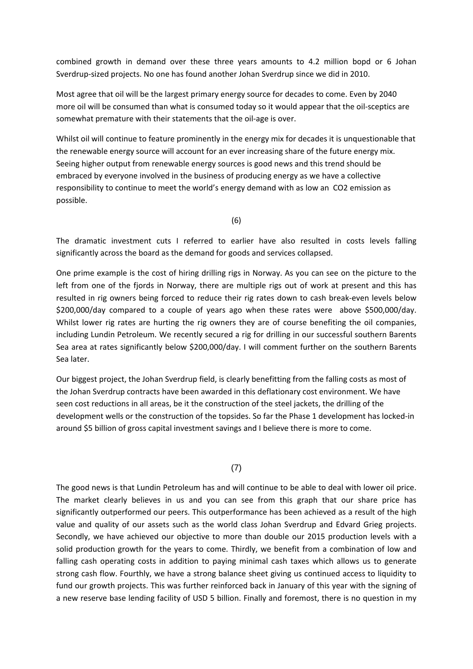combined growth in demand over these three years amounts to 4.2 million bopd or 6 Johan Sverdrup‐sized projects. No one has found another Johan Sverdrup since we did in 2010.

Most agree that oil will be the largest primary energy source for decades to come. Even by 2040 more oil will be consumed than what is consumed today so it would appear that the oil‐sceptics are somewhat premature with their statements that the oil‐age is over.

Whilst oil will continue to feature prominently in the energy mix for decades it is unquestionable that the renewable energy source will account for an ever increasing share of the future energy mix. Seeing higher output from renewable energy sources is good news and this trend should be embraced by everyone involved in the business of producing energy as we have a collective responsibility to continue to meet the world's energy demand with as low an CO2 emission as possible.

(6)

The dramatic investment cuts I referred to earlier have also resulted in costs levels falling significantly across the board as the demand for goods and services collapsed.

One prime example is the cost of hiring drilling rigs in Norway. As you can see on the picture to the left from one of the fjords in Norway, there are multiple rigs out of work at present and this has resulted in rig owners being forced to reduce their rig rates down to cash break‐even levels below \$200,000/day compared to a couple of years ago when these rates were above \$500,000/day. Whilst lower rig rates are hurting the rig owners they are of course benefiting the oil companies, including Lundin Petroleum. We recently secured a rig for drilling in our successful southern Barents Sea area at rates significantly below \$200,000/day. I will comment further on the southern Barents Sea later.

Our biggest project, the Johan Sverdrup field, is clearly benefitting from the falling costs as most of the Johan Sverdrup contracts have been awarded in this deflationary cost environment. We have seen cost reductions in all areas, be it the construction of the steel jackets, the drilling of the development wells or the construction of the topsides. So far the Phase 1 development has locked‐in around \$5 billion of gross capital investment savings and I believe there is more to come.

#### (7)

The good news is that Lundin Petroleum has and will continue to be able to deal with lower oil price. The market clearly believes in us and you can see from this graph that our share price has significantly outperformed our peers. This outperformance has been achieved as a result of the high value and quality of our assets such as the world class Johan Sverdrup and Edvard Grieg projects. Secondly, we have achieved our objective to more than double our 2015 production levels with a solid production growth for the years to come. Thirdly, we benefit from a combination of low and falling cash operating costs in addition to paying minimal cash taxes which allows us to generate strong cash flow. Fourthly, we have a strong balance sheet giving us continued access to liquidity to fund our growth projects. This was further reinforced back in January of this year with the signing of a new reserve base lending facility of USD 5 billion. Finally and foremost, there is no question in my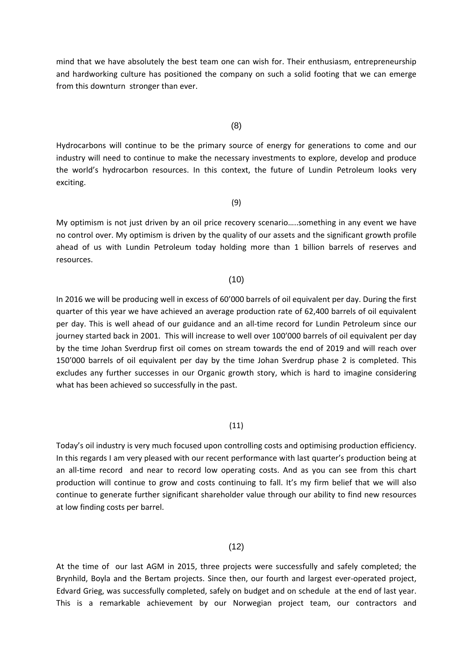mind that we have absolutely the best team one can wish for. Their enthusiasm, entrepreneurship and hardworking culture has positioned the company on such a solid footing that we can emerge from this downturn stronger than ever.

#### (8)

Hydrocarbons will continue to be the primary source of energy for generations to come and our industry will need to continue to make the necessary investments to explore, develop and produce the world's hydrocarbon resources. In this context, the future of Lundin Petroleum looks very exciting.

#### (9)

My optimism is not just driven by an oil price recovery scenario…..something in any event we have no control over. My optimism is driven by the quality of our assets and the significant growth profile ahead of us with Lundin Petroleum today holding more than 1 billion barrels of reserves and resources.

#### (10)

In 2016 we will be producing well in excess of 60'000 barrels of oil equivalent per day. During the first quarter of this year we have achieved an average production rate of 62,400 barrels of oil equivalent per day. This is well ahead of our guidance and an all-time record for Lundin Petroleum since our journey started back in 2001. This will increase to well over 100'000 barrels of oil equivalent per day by the time Johan Sverdrup first oil comes on stream towards the end of 2019 and will reach over 150'000 barrels of oil equivalent per day by the time Johan Sverdrup phase 2 is completed. This excludes any further successes in our Organic growth story, which is hard to imagine considering what has been achieved so successfully in the past.

#### (11)

Today's oil industry is very much focused upon controlling costs and optimising production efficiency. In this regards I am very pleased with our recent performance with last quarter's production being at an all-time record and near to record low operating costs. And as you can see from this chart production will continue to grow and costs continuing to fall. It's my firm belief that we will also continue to generate further significant shareholder value through our ability to find new resources at low finding costs per barrel.

#### $(12)$

At the time of our last AGM in 2015, three projects were successfully and safely completed; the Brynhild, Boyla and the Bertam projects. Since then, our fourth and largest ever-operated project, Edvard Grieg, was successfully completed, safely on budget and on schedule at the end of last year. This is a remarkable achievement by our Norwegian project team, our contractors and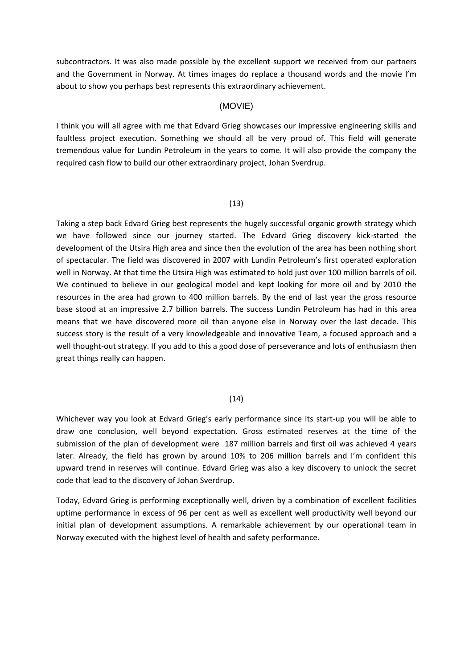subcontractors. It was also made possible by the excellent support we received from our partners and the Government in Norway. At times images do replace a thousand words and the movie I'm about to show you perhaps best represents this extraordinary achievement.

#### (MOVIE)

I think you will all agree with me that Edvard Grieg showcases our impressive engineering skills and faultless project execution. Something we should all be very proud of. This field will generate tremendous value for Lundin Petroleum in the years to come. It will also provide the company the required cash flow to build our other extraordinary project, Johan Sverdrup.

#### (13)

Taking a step back Edvard Grieg best represents the hugely successful organic growth strategy which we have followed since our journey started. The Edvard Grieg discovery kick‐started the development of the Utsira High area and since then the evolution of the area has been nothing short of spectacular. The field was discovered in 2007 with Lundin Petroleum's first operated exploration well in Norway. At that time the Utsira High was estimated to hold just over 100 million barrels of oil. We continued to believe in our geological model and kept looking for more oil and by 2010 the resources in the area had grown to 400 million barrels. By the end of last year the gross resource base stood at an impressive 2.7 billion barrels. The success Lundin Petroleum has had in this area means that we have discovered more oil than anyone else in Norway over the last decade. This success story is the result of a very knowledgeable and innovative Team, a focused approach and a well thought-out strategy. If you add to this a good dose of perseverance and lots of enthusiasm then great things really can happen.

#### (14)

Whichever way you look at Edvard Grieg's early performance since its start‐up you will be able to draw one conclusion, well beyond expectation. Gross estimated reserves at the time of the submission of the plan of development were 187 million barrels and first oil was achieved 4 years later. Already, the field has grown by around 10% to 206 million barrels and I'm confident this upward trend in reserves will continue. Edvard Grieg was also a key discovery to unlock the secret code that lead to the discovery of Johan Sverdrup.

Today, Edvard Grieg is performing exceptionally well, driven by a combination of excellent facilities uptime performance in excess of 96 per cent as well as excellent well productivity well beyond our initial plan of development assumptions. A remarkable achievement by our operational team in Norway executed with the highest level of health and safety performance.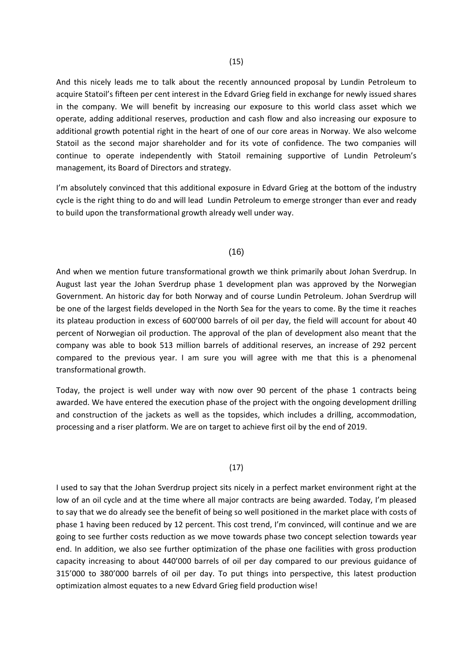And this nicely leads me to talk about the recently announced proposal by Lundin Petroleum to acquire Statoil's fifteen per cent interest in the Edvard Grieg field in exchange for newly issued shares in the company. We will benefit by increasing our exposure to this world class asset which we operate, adding additional reserves, production and cash flow and also increasing our exposure to additional growth potential right in the heart of one of our core areas in Norway. We also welcome Statoil as the second major shareholder and for its vote of confidence. The two companies will continue to operate independently with Statoil remaining supportive of Lundin Petroleum's management, its Board of Directors and strategy.

I'm absolutely convinced that this additional exposure in Edvard Grieg at the bottom of the industry cycle is the right thing to do and will lead Lundin Petroleum to emerge stronger than ever and ready to build upon the transformational growth already well under way.

#### (16)

And when we mention future transformational growth we think primarily about Johan Sverdrup. In August last year the Johan Sverdrup phase 1 development plan was approved by the Norwegian Government. An historic day for both Norway and of course Lundin Petroleum. Johan Sverdrup will be one of the largest fields developed in the North Sea for the years to come. By the time it reaches its plateau production in excess of 600'000 barrels of oil per day, the field will account for about 40 percent of Norwegian oil production. The approval of the plan of development also meant that the company was able to book 513 million barrels of additional reserves, an increase of 292 percent compared to the previous year. I am sure you will agree with me that this is a phenomenal transformational growth.

Today, the project is well under way with now over 90 percent of the phase 1 contracts being awarded. We have entered the execution phase of the project with the ongoing development drilling and construction of the jackets as well as the topsides, which includes a drilling, accommodation, processing and a riser platform. We are on target to achieve first oil by the end of 2019.

#### (17)

I used to say that the Johan Sverdrup project sits nicely in a perfect market environment right at the low of an oil cycle and at the time where all major contracts are being awarded. Today, I'm pleased to say that we do already see the benefit of being so well positioned in the market place with costs of phase 1 having been reduced by 12 percent. This cost trend, I'm convinced, will continue and we are going to see further costs reduction as we move towards phase two concept selection towards year end. In addition, we also see further optimization of the phase one facilities with gross production capacity increasing to about 440'000 barrels of oil per day compared to our previous guidance of 315'000 to 380'000 barrels of oil per day. To put things into perspective, this latest production optimization almost equates to a new Edvard Grieg field production wise!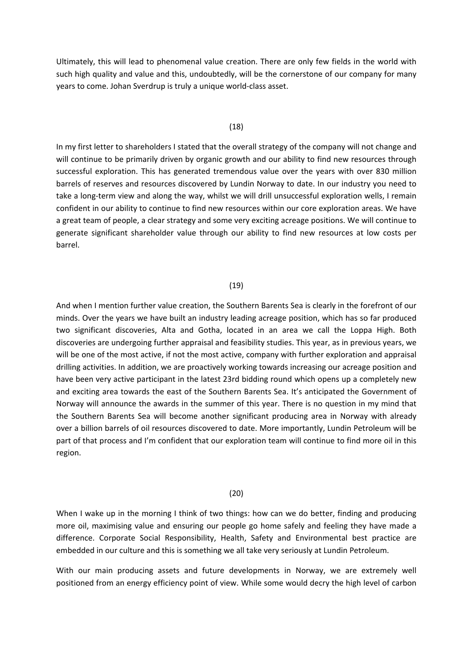Ultimately, this will lead to phenomenal value creation. There are only few fields in the world with such high quality and value and this, undoubtedly, will be the cornerstone of our company for many years to come. Johan Sverdrup is truly a unique world‐class asset.

#### (18)

In my first letter to shareholders I stated that the overall strategy of the company will not change and will continue to be primarily driven by organic growth and our ability to find new resources through successful exploration. This has generated tremendous value over the years with over 830 million barrels of reserves and resources discovered by Lundin Norway to date. In our industry you need to take a long-term view and along the way, whilst we will drill unsuccessful exploration wells, I remain confident in our ability to continue to find new resources within our core exploration areas. We have a great team of people, a clear strategy and some very exciting acreage positions. We will continue to generate significant shareholder value through our ability to find new resources at low costs per barrel.

#### (19)

And when I mention further value creation, the Southern Barents Sea is clearly in the forefront of our minds. Over the years we have built an industry leading acreage position, which has so far produced two significant discoveries, Alta and Gotha, located in an area we call the Loppa High. Both discoveries are undergoing further appraisal and feasibility studies. This year, as in previous years, we will be one of the most active, if not the most active, company with further exploration and appraisal drilling activities. In addition, we are proactively working towards increasing our acreage position and have been very active participant in the latest 23rd bidding round which opens up a completely new and exciting area towards the east of the Southern Barents Sea. It's anticipated the Government of Norway will announce the awards in the summer of this year. There is no question in my mind that the Southern Barents Sea will become another significant producing area in Norway with already over a billion barrels of oil resources discovered to date. More importantly, Lundin Petroleum will be part of that process and I'm confident that our exploration team will continue to find more oil in this region.

#### (20)

When I wake up in the morning I think of two things: how can we do better, finding and producing more oil, maximising value and ensuring our people go home safely and feeling they have made a difference. Corporate Social Responsibility, Health, Safety and Environmental best practice are embedded in our culture and this is something we all take very seriously at Lundin Petroleum.

With our main producing assets and future developments in Norway, we are extremely well positioned from an energy efficiency point of view. While some would decry the high level of carbon